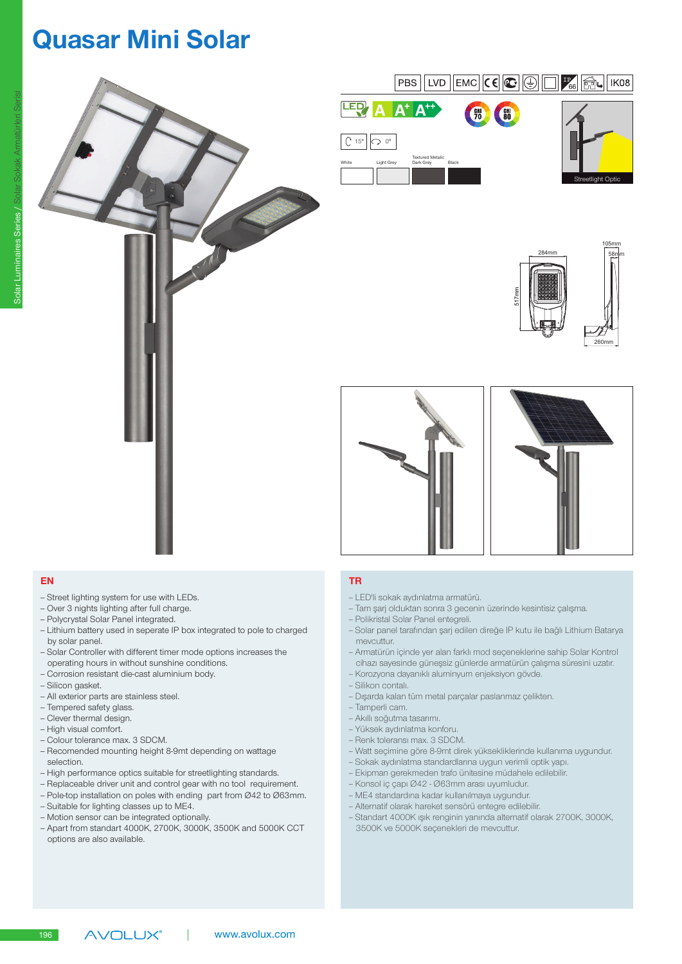# Quasar Mini Solar











- Street lighting system for use with LEDs.
- Over 3 nights lighting after full charge.
- Polycrystal Solar Panel integrated.
- Lithium battery used in seperate IP box integrated to pole to charged by solar panel.
- -- Solar Controller with different timer mode options increases the operating hours in without sunshine conditions.
- Corrosion resistant die-cast aluminium body.
- Silicon gasket.
- All exterior parts are stainless steel.
- Tempered safety glass.
- Clever thermal design.
- High visual comfort.
- Colour tolerance max. 3 SDCM.
- Recomended mounting height 8-9mt depending on wattage selection.
- High performance optics suitable for streetlighting standards.
- Replaceable driver unit and control gear with no tool requirement.
- Pole-top installation on poles with ending part from Ø42 to Ø63mm.
- Suitable for lighting classes up to ME4.
- Motion sensor can be integrated optionally.

**AVOLUX®** 

-- Apart from standart 4000K, 2700K, 3000K, 3500K and 5000K CCT options are also available.

### EN 1999 EN 1999 EN 1999 EN 1999 EN 1999 EN 1999 EN 1999 EN 1999 EN 1999 EN 1999 EN 1999 EN 1999 EN 1999 EN 19

- -- LED'li sokak aydınlatma armatürü.
- -- Tam şarj olduktan sonra 3 gecenin üzerinde kesintisiz çalışma.
- Polikristal Solar Panel entegreli.
- -- Solar panel tarafından şarj edilen direğe IP kutu ile bağlı Lithium Batarya mevcuttur.
- -- Armatürün içinde yer alan farklı mod seçeneklerine sahip Solar Kontrol cihazı sayesinde güneşsiz günlerde armatürün çalışma süresini uzatır.
- Korozyona dayanıklı aluminyum enjeksiyon gövde.
- -- Silikon contalı.
- -- Dışarda kalan tüm metal parçalar paslanmaz çelikten.
- -- Tamperli cam.
- -- Akıllı soğutma tasarımı.
- -- Yüksek aydınlatma konforu.
- Renk toleransı max. 3 SDCM.
- -- Watt seçimine göre 8-9mt direk yüksekliklerinde kullanıma uygundur.
- -- Sokak aydınlatma standardlarına uygun verimli optik yapı.
- -- Ekipman gerekmeden trafo ünitesine müdahele edilebilir.
- -- Konsol iç çapı Ø42 Ø63mm arası uyumludur.
- -- ME4 standardına kadar kullanılmaya uygundur.
- -- Alternatif olarak hareket sensörü entegre edilebilir.
- -- Standart 4000K ışık renginin yanında alternatif olarak 2700K, 3000K, 3500K ve 5000K seçenekleri de mevcuttur.

196